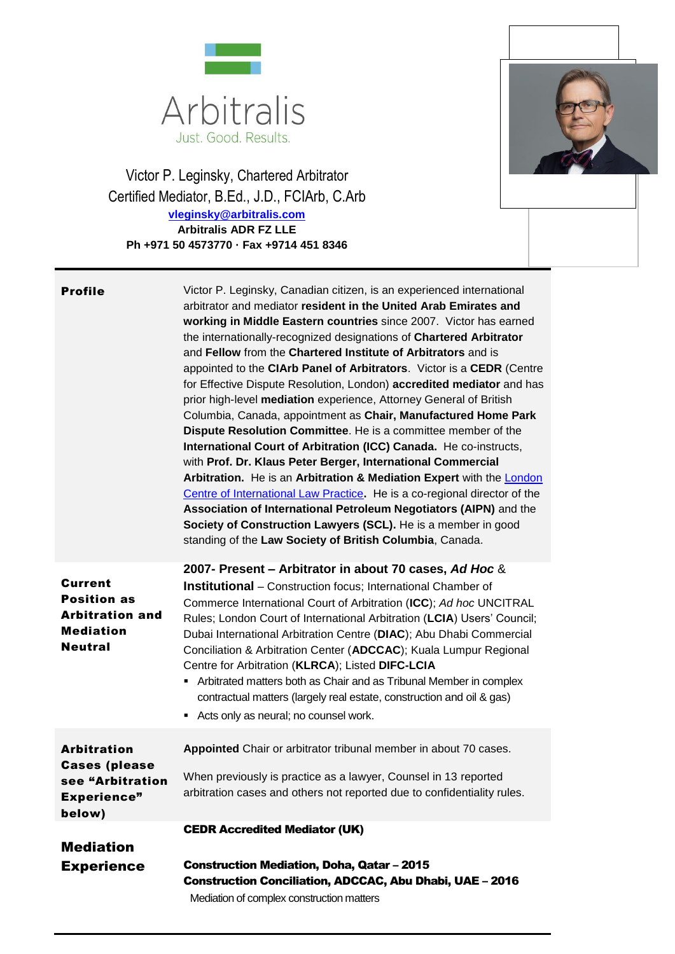

Victor P. Leginsky, Chartered Arbitrator Certified Mediator, B.Ed., J.D., FCIArb, C.Arb **[vleginsky@arbitralis.com](mailto:vleginsky@arbitralis.com) Arbitralis ADR FZ LLE Ph +971 50 4573770 · Fax +9714 451 8346**



| <b>Profile</b>                                                                                       | Victor P. Leginsky, Canadian citizen, is an experienced international<br>arbitrator and mediator resident in the United Arab Emirates and<br>working in Middle Eastern countries since 2007. Victor has earned<br>the internationally-recognized designations of Chartered Arbitrator<br>and Fellow from the Chartered Institute of Arbitrators and is<br>appointed to the CIArb Panel of Arbitrators. Victor is a CEDR (Centre<br>for Effective Dispute Resolution, London) accredited mediator and has<br>prior high-level mediation experience, Attorney General of British<br>Columbia, Canada, appointment as Chair, Manufactured Home Park<br>Dispute Resolution Committee. He is a committee member of the<br>International Court of Arbitration (ICC) Canada. He co-instructs,<br>with Prof. Dr. Klaus Peter Berger, International Commercial<br>Arbitration. He is an Arbitration & Mediation Expert with the <b>London</b><br>Centre of International Law Practice. He is a co-regional director of the<br>Association of International Petroleum Negotiators (AIPN) and the<br>Society of Construction Lawyers (SCL). He is a member in good<br>standing of the Law Society of British Columbia, Canada. |
|------------------------------------------------------------------------------------------------------|---------------------------------------------------------------------------------------------------------------------------------------------------------------------------------------------------------------------------------------------------------------------------------------------------------------------------------------------------------------------------------------------------------------------------------------------------------------------------------------------------------------------------------------------------------------------------------------------------------------------------------------------------------------------------------------------------------------------------------------------------------------------------------------------------------------------------------------------------------------------------------------------------------------------------------------------------------------------------------------------------------------------------------------------------------------------------------------------------------------------------------------------------------------------------------------------------------------------|
| <b>Current</b><br><b>Position as</b><br><b>Arbitration and</b><br><b>Mediation</b><br><b>Neutral</b> | 2007- Present – Arbitrator in about 70 cases, Ad Hoc &<br><b>Institutional</b> – Construction focus; International Chamber of<br>Commerce International Court of Arbitration (ICC); Ad hoc UNCITRAL<br>Rules; London Court of International Arbitration (LCIA) Users' Council;<br>Dubai International Arbitration Centre (DIAC); Abu Dhabi Commercial<br>Conciliation & Arbitration Center (ADCCAC); Kuala Lumpur Regional<br>Centre for Arbitration (KLRCA); Listed DIFC-LCIA<br>Arbitrated matters both as Chair and as Tribunal Member in complex<br>п<br>contractual matters (largely real estate, construction and oil & gas)<br>Acts only as neural; no counsel work.<br>٠                                                                                                                                                                                                                                                                                                                                                                                                                                                                                                                                    |
| <b>Arbitration</b><br><b>Cases (please</b><br>see "Arbitration<br><b>Experience"</b><br>below)       | Appointed Chair or arbitrator tribunal member in about 70 cases.<br>When previously is practice as a lawyer, Counsel in 13 reported<br>arbitration cases and others not reported due to confidentiality rules.                                                                                                                                                                                                                                                                                                                                                                                                                                                                                                                                                                                                                                                                                                                                                                                                                                                                                                                                                                                                      |
| <b>Mediation</b><br><b>Experience</b>                                                                | <b>CEDR Accredited Mediator (UK)</b><br><b>Construction Mediation, Doha, Qatar - 2015</b><br><b>Construction Conciliation, ADCCAC, Abu Dhabi, UAE - 2016</b><br>Mediation of complex construction matters                                                                                                                                                                                                                                                                                                                                                                                                                                                                                                                                                                                                                                                                                                                                                                                                                                                                                                                                                                                                           |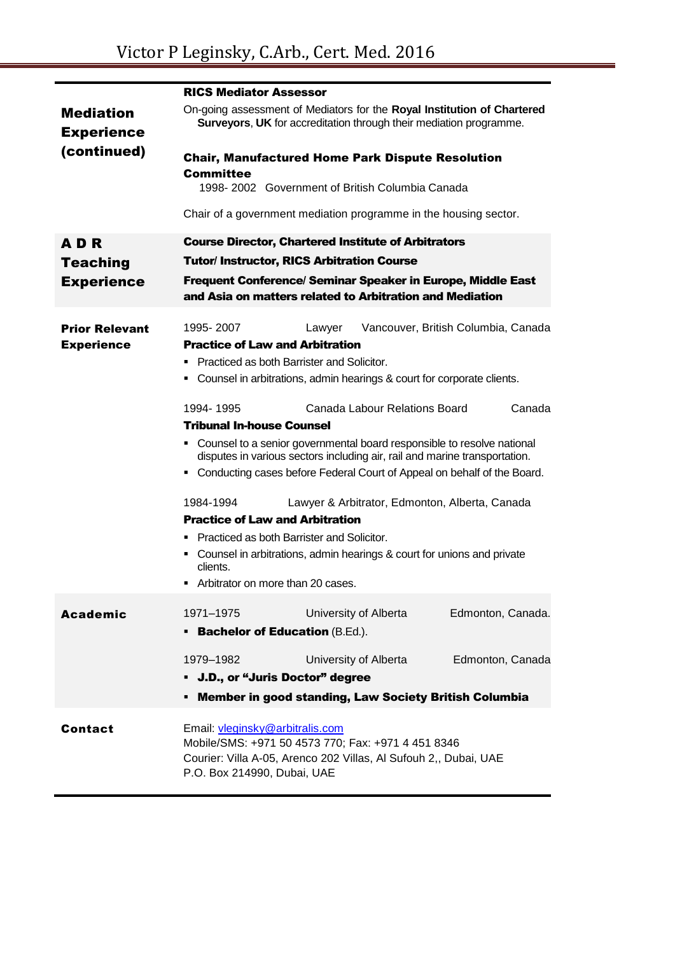|                                            | <b>RICS Mediator Assessor</b>                                                                                                                                                            |
|--------------------------------------------|------------------------------------------------------------------------------------------------------------------------------------------------------------------------------------------|
| <b>Mediation</b><br><b>Experience</b>      | On-going assessment of Mediators for the Royal Institution of Chartered<br>Surveyors, UK for accreditation through their mediation programme.                                            |
| (continued)                                | <b>Chair, Manufactured Home Park Dispute Resolution</b>                                                                                                                                  |
|                                            | Committee<br>1998-2002 Government of British Columbia Canada                                                                                                                             |
|                                            | Chair of a government mediation programme in the housing sector.                                                                                                                         |
| <b>ADR</b>                                 | <b>Course Director, Chartered Institute of Arbitrators</b>                                                                                                                               |
| <b>Teaching</b>                            | <b>Tutor/Instructor, RICS Arbitration Course</b>                                                                                                                                         |
| <b>Experience</b>                          | Frequent Conference/ Seminar Speaker in Europe, Middle East<br>and Asia on matters related to Arbitration and Mediation                                                                  |
| <b>Prior Relevant</b><br><b>Experience</b> | 1995-2007<br>Vancouver, British Columbia, Canada<br>Lawyer<br><b>Practice of Law and Arbitration</b><br>• Practiced as both Barrister and Solicitor.                                     |
|                                            | • Counsel in arbitrations, admin hearings & court for corporate clients.                                                                                                                 |
|                                            | Canada Labour Relations Board<br>1994-1995<br>Canada                                                                                                                                     |
|                                            | <b>Tribunal In-house Counsel</b>                                                                                                                                                         |
|                                            | • Counsel to a senior governmental board responsible to resolve national<br>disputes in various sectors including air, rail and marine transportation.                                   |
|                                            | • Conducting cases before Federal Court of Appeal on behalf of the Board.                                                                                                                |
|                                            | 1984-1994<br>Lawyer & Arbitrator, Edmonton, Alberta, Canada<br><b>Practice of Law and Arbitration</b><br>■ Practiced as both Barrister and Solicitor.                                    |
|                                            | • Counsel in arbitrations, admin hearings & court for unions and private<br>clients.<br>Arbitrator on more than 20 cases.                                                                |
|                                            |                                                                                                                                                                                          |
| <b>Academic</b>                            | 1971-1975<br>University of Alberta<br>Edmonton, Canada.<br><b>Bachelor of Education (B.Ed.).</b>                                                                                         |
|                                            | University of Alberta<br>Edmonton, Canada<br>1979-1982                                                                                                                                   |
|                                            | • J.D., or "Juris Doctor" degree                                                                                                                                                         |
|                                            | <b>Member in good standing, Law Society British Columbia</b>                                                                                                                             |
| Contact                                    | Email: vleginsky@arbitralis.com<br>Mobile/SMS: +971 50 4573 770; Fax: +971 4 451 8346<br>Courier: Villa A-05, Arenco 202 Villas, Al Sufouh 2,, Dubai, UAE<br>P.O. Box 214990, Dubai, UAE |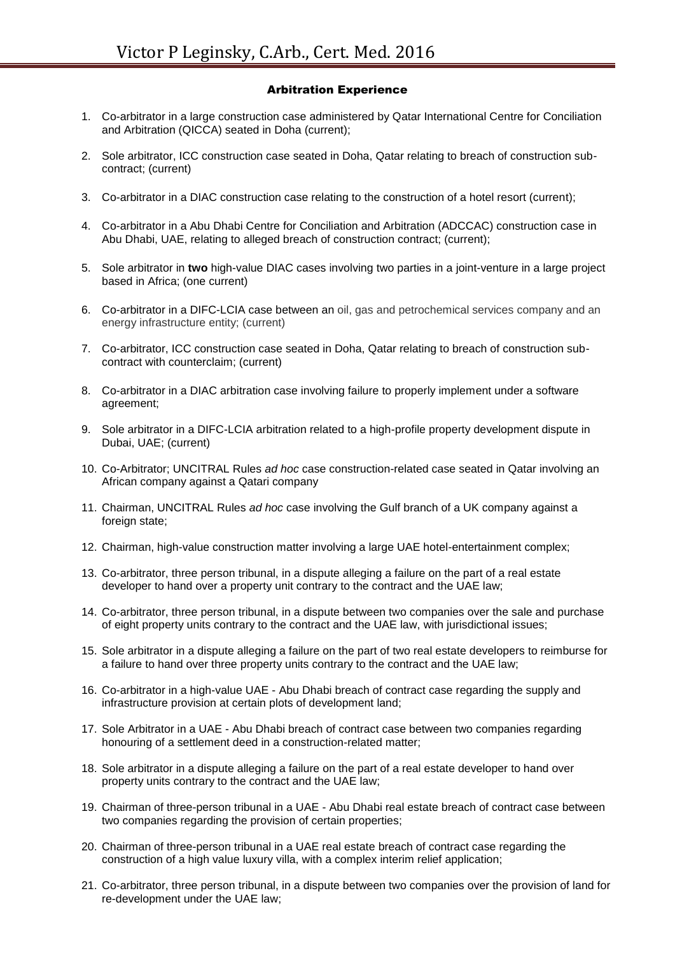## Arbitration Experience

- 1. Co-arbitrator in a large construction case administered by Qatar International Centre for Conciliation and Arbitration (QICCA) seated in Doha (current);
- 2. Sole arbitrator, ICC construction case seated in Doha, Qatar relating to breach of construction subcontract; (current)
- 3. Co-arbitrator in a DIAC construction case relating to the construction of a hotel resort (current);
- 4. Co-arbitrator in a Abu Dhabi Centre for Conciliation and Arbitration (ADCCAC) construction case in Abu Dhabi, UAE, relating to alleged breach of construction contract; (current);
- 5. Sole arbitrator in **two** high-value DIAC cases involving two parties in a joint-venture in a large project based in Africa; (one current)
- 6. Co-arbitrator in a DIFC-LCIA case between an oil, gas and petrochemical services company and an energy infrastructure entity; (current)
- 7. Co-arbitrator, ICC construction case seated in Doha, Qatar relating to breach of construction subcontract with counterclaim; (current)
- 8. Co-arbitrator in a DIAC arbitration case involving failure to properly implement under a software agreement;
- 9. Sole arbitrator in a DIFC-LCIA arbitration related to a high-profile property development dispute in Dubai, UAE; (current)
- 10. Co-Arbitrator; UNCITRAL Rules *ad hoc* case construction-related case seated in Qatar involving an African company against a Qatari company
- 11. Chairman, UNCITRAL Rules *ad hoc* case involving the Gulf branch of a UK company against a foreign state;
- 12. Chairman, high-value construction matter involving a large UAE hotel-entertainment complex;
- 13. Co-arbitrator, three person tribunal, in a dispute alleging a failure on the part of a real estate developer to hand over a property unit contrary to the contract and the UAE law;
- 14. Co-arbitrator, three person tribunal, in a dispute between two companies over the sale and purchase of eight property units contrary to the contract and the UAE law, with jurisdictional issues;
- 15. Sole arbitrator in a dispute alleging a failure on the part of two real estate developers to reimburse for a failure to hand over three property units contrary to the contract and the UAE law;
- 16. Co-arbitrator in a high-value UAE Abu Dhabi breach of contract case regarding the supply and infrastructure provision at certain plots of development land;
- 17. Sole Arbitrator in a UAE Abu Dhabi breach of contract case between two companies regarding honouring of a settlement deed in a construction-related matter;
- 18. Sole arbitrator in a dispute alleging a failure on the part of a real estate developer to hand over property units contrary to the contract and the UAE law;
- 19. Chairman of three-person tribunal in a UAE Abu Dhabi real estate breach of contract case between two companies regarding the provision of certain properties;
- 20. Chairman of three-person tribunal in a UAE real estate breach of contract case regarding the construction of a high value luxury villa, with a complex interim relief application;
- 21. Co-arbitrator, three person tribunal, in a dispute between two companies over the provision of land for re-development under the UAE law;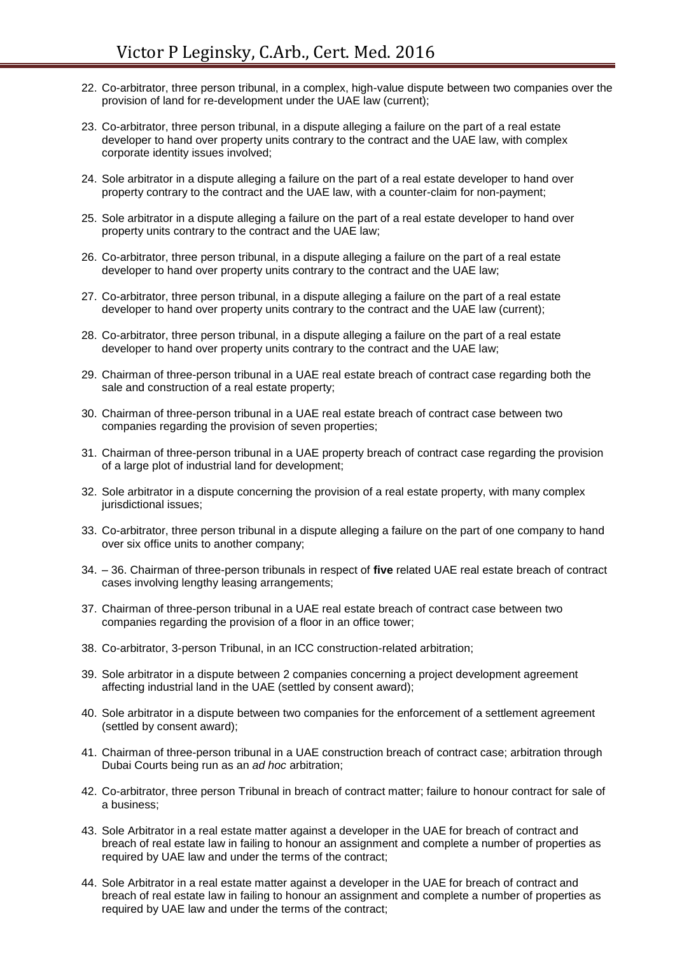- 22. Co-arbitrator, three person tribunal, in a complex, high-value dispute between two companies over the provision of land for re-development under the UAE law (current);
- 23. Co-arbitrator, three person tribunal, in a dispute alleging a failure on the part of a real estate developer to hand over property units contrary to the contract and the UAE law, with complex corporate identity issues involved;
- 24. Sole arbitrator in a dispute alleging a failure on the part of a real estate developer to hand over property contrary to the contract and the UAE law, with a counter-claim for non-payment;
- 25. Sole arbitrator in a dispute alleging a failure on the part of a real estate developer to hand over property units contrary to the contract and the UAE law;
- 26. Co-arbitrator, three person tribunal, in a dispute alleging a failure on the part of a real estate developer to hand over property units contrary to the contract and the UAE law;
- 27. Co-arbitrator, three person tribunal, in a dispute alleging a failure on the part of a real estate developer to hand over property units contrary to the contract and the UAE law (current);
- 28. Co-arbitrator, three person tribunal, in a dispute alleging a failure on the part of a real estate developer to hand over property units contrary to the contract and the UAE law;
- 29. Chairman of three-person tribunal in a UAE real estate breach of contract case regarding both the sale and construction of a real estate property;
- 30. Chairman of three-person tribunal in a UAE real estate breach of contract case between two companies regarding the provision of seven properties;
- 31. Chairman of three-person tribunal in a UAE property breach of contract case regarding the provision of a large plot of industrial land for development;
- 32. Sole arbitrator in a dispute concerning the provision of a real estate property, with many complex jurisdictional issues;
- 33. Co-arbitrator, three person tribunal in a dispute alleging a failure on the part of one company to hand over six office units to another company;
- 34. 36. Chairman of three-person tribunals in respect of **five** related UAE real estate breach of contract cases involving lengthy leasing arrangements;
- 37. Chairman of three-person tribunal in a UAE real estate breach of contract case between two companies regarding the provision of a floor in an office tower;
- 38. Co-arbitrator, 3-person Tribunal, in an ICC construction-related arbitration;
- 39. Sole arbitrator in a dispute between 2 companies concerning a project development agreement affecting industrial land in the UAE (settled by consent award);
- 40. Sole arbitrator in a dispute between two companies for the enforcement of a settlement agreement (settled by consent award);
- 41. Chairman of three-person tribunal in a UAE construction breach of contract case; arbitration through Dubai Courts being run as an *ad hoc* arbitration;
- 42. Co-arbitrator, three person Tribunal in breach of contract matter; failure to honour contract for sale of a business;
- 43. Sole Arbitrator in a real estate matter against a developer in the UAE for breach of contract and breach of real estate law in failing to honour an assignment and complete a number of properties as required by UAE law and under the terms of the contract;
- 44. Sole Arbitrator in a real estate matter against a developer in the UAE for breach of contract and breach of real estate law in failing to honour an assignment and complete a number of properties as required by UAE law and under the terms of the contract;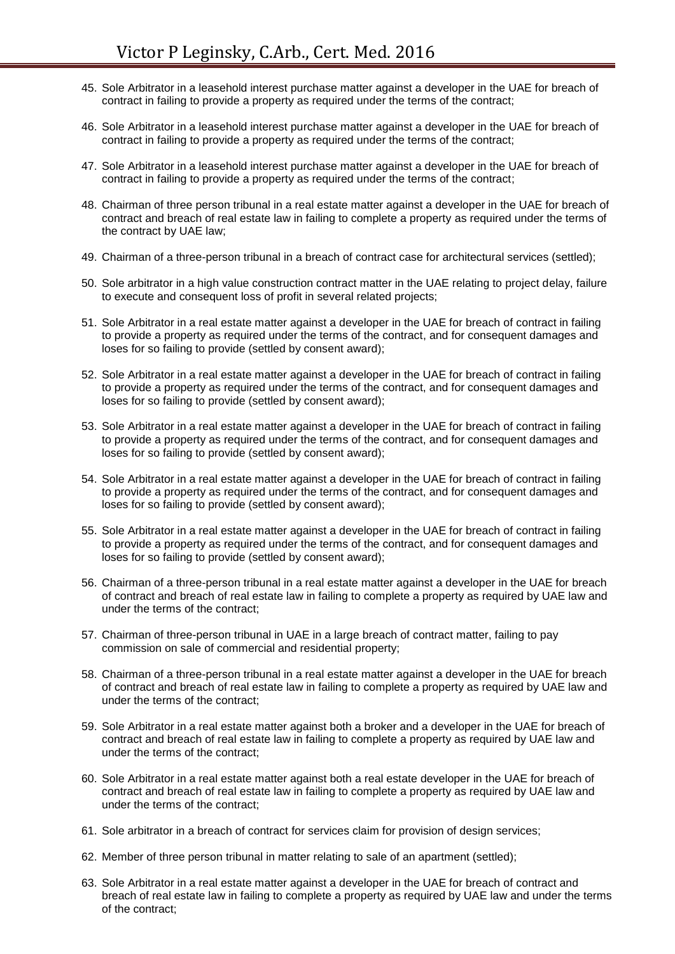- 45. Sole Arbitrator in a leasehold interest purchase matter against a developer in the UAE for breach of contract in failing to provide a property as required under the terms of the contract;
- 46. Sole Arbitrator in a leasehold interest purchase matter against a developer in the UAE for breach of contract in failing to provide a property as required under the terms of the contract;
- 47. Sole Arbitrator in a leasehold interest purchase matter against a developer in the UAE for breach of contract in failing to provide a property as required under the terms of the contract;
- 48. Chairman of three person tribunal in a real estate matter against a developer in the UAE for breach of contract and breach of real estate law in failing to complete a property as required under the terms of the contract by UAE law;
- 49. Chairman of a three-person tribunal in a breach of contract case for architectural services (settled);
- 50. Sole arbitrator in a high value construction contract matter in the UAE relating to project delay, failure to execute and consequent loss of profit in several related projects;
- 51. Sole Arbitrator in a real estate matter against a developer in the UAE for breach of contract in failing to provide a property as required under the terms of the contract, and for consequent damages and loses for so failing to provide (settled by consent award);
- 52. Sole Arbitrator in a real estate matter against a developer in the UAE for breach of contract in failing to provide a property as required under the terms of the contract, and for consequent damages and loses for so failing to provide (settled by consent award);
- 53. Sole Arbitrator in a real estate matter against a developer in the UAE for breach of contract in failing to provide a property as required under the terms of the contract, and for consequent damages and loses for so failing to provide (settled by consent award);
- 54. Sole Arbitrator in a real estate matter against a developer in the UAE for breach of contract in failing to provide a property as required under the terms of the contract, and for consequent damages and loses for so failing to provide (settled by consent award);
- 55. Sole Arbitrator in a real estate matter against a developer in the UAE for breach of contract in failing to provide a property as required under the terms of the contract, and for consequent damages and loses for so failing to provide (settled by consent award);
- 56. Chairman of a three-person tribunal in a real estate matter against a developer in the UAE for breach of contract and breach of real estate law in failing to complete a property as required by UAE law and under the terms of the contract;
- 57. Chairman of three-person tribunal in UAE in a large breach of contract matter, failing to pay commission on sale of commercial and residential property;
- 58. Chairman of a three-person tribunal in a real estate matter against a developer in the UAE for breach of contract and breach of real estate law in failing to complete a property as required by UAE law and under the terms of the contract;
- 59. Sole Arbitrator in a real estate matter against both a broker and a developer in the UAE for breach of contract and breach of real estate law in failing to complete a property as required by UAE law and under the terms of the contract;
- 60. Sole Arbitrator in a real estate matter against both a real estate developer in the UAE for breach of contract and breach of real estate law in failing to complete a property as required by UAE law and under the terms of the contract;
- 61. Sole arbitrator in a breach of contract for services claim for provision of design services;
- 62. Member of three person tribunal in matter relating to sale of an apartment (settled);
- 63. Sole Arbitrator in a real estate matter against a developer in the UAE for breach of contract and breach of real estate law in failing to complete a property as required by UAE law and under the terms of the contract;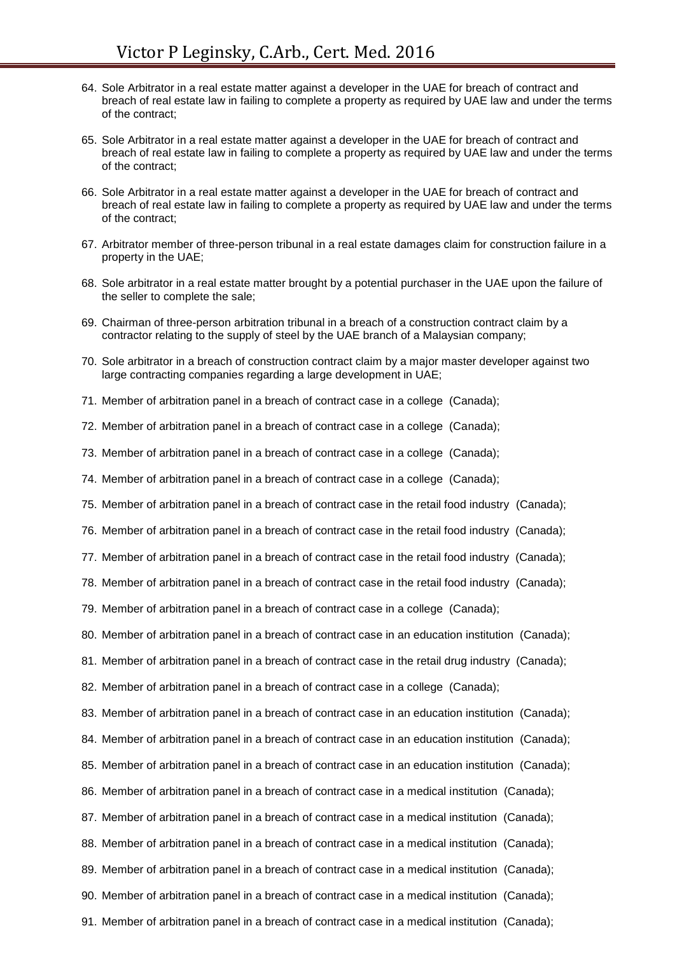- 64. Sole Arbitrator in a real estate matter against a developer in the UAE for breach of contract and breach of real estate law in failing to complete a property as required by UAE law and under the terms of the contract;
- 65. Sole Arbitrator in a real estate matter against a developer in the UAE for breach of contract and breach of real estate law in failing to complete a property as required by UAE law and under the terms of the contract;
- 66. Sole Arbitrator in a real estate matter against a developer in the UAE for breach of contract and breach of real estate law in failing to complete a property as required by UAE law and under the terms of the contract;
- 67. Arbitrator member of three-person tribunal in a real estate damages claim for construction failure in a property in the UAE;
- 68. Sole arbitrator in a real estate matter brought by a potential purchaser in the UAE upon the failure of the seller to complete the sale;
- 69. Chairman of three-person arbitration tribunal in a breach of a construction contract claim by a contractor relating to the supply of steel by the UAE branch of a Malaysian company;
- 70. Sole arbitrator in a breach of construction contract claim by a major master developer against two large contracting companies regarding a large development in UAE;
- 71. Member of arbitration panel in a breach of contract case in a college (Canada);
- 72. Member of arbitration panel in a breach of contract case in a college (Canada);
- 73. Member of arbitration panel in a breach of contract case in a college (Canada);
- 74. Member of arbitration panel in a breach of contract case in a college (Canada);
- 75. Member of arbitration panel in a breach of contract case in the retail food industry (Canada);
- 76. Member of arbitration panel in a breach of contract case in the retail food industry (Canada);
- 77. Member of arbitration panel in a breach of contract case in the retail food industry (Canada);
- 78. Member of arbitration panel in a breach of contract case in the retail food industry (Canada);
- 79. Member of arbitration panel in a breach of contract case in a college (Canada);
- 80. Member of arbitration panel in a breach of contract case in an education institution (Canada);
- 81. Member of arbitration panel in a breach of contract case in the retail drug industry (Canada);
- 82. Member of arbitration panel in a breach of contract case in a college (Canada);
- 83. Member of arbitration panel in a breach of contract case in an education institution (Canada);
- 84. Member of arbitration panel in a breach of contract case in an education institution (Canada);
- 85. Member of arbitration panel in a breach of contract case in an education institution (Canada);
- 86. Member of arbitration panel in a breach of contract case in a medical institution (Canada);
- 87. Member of arbitration panel in a breach of contract case in a medical institution (Canada);
- 88. Member of arbitration panel in a breach of contract case in a medical institution (Canada);
- 89. Member of arbitration panel in a breach of contract case in a medical institution (Canada);
- 90. Member of arbitration panel in a breach of contract case in a medical institution (Canada);
- 91. Member of arbitration panel in a breach of contract case in a medical institution (Canada);